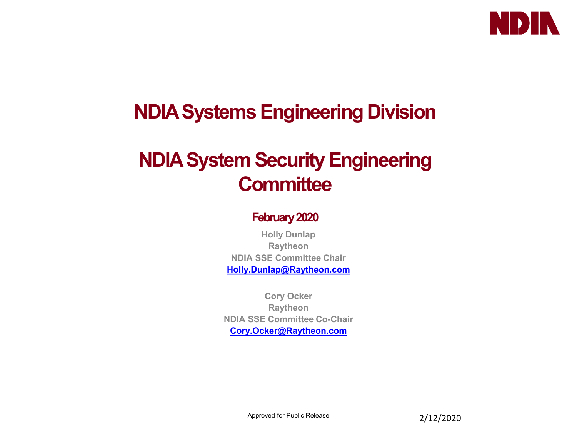

### **NDIA Systems Engineering Division**

### **NDIA System Security Engineering Committee**

#### **February 2020**

**Holly Dunlap Raytheon NDIA SSE Committee Chair [Holly.Dunlap@Raytheon.com](mailto:Holly.Dunlap@Raytheon.com)**

**Cory Ocker Raytheon NDIA SSE Committee Co-Chair [Cory.Ocker@Raytheon.com](mailto:Cory.Ocker@Raytheon.com)**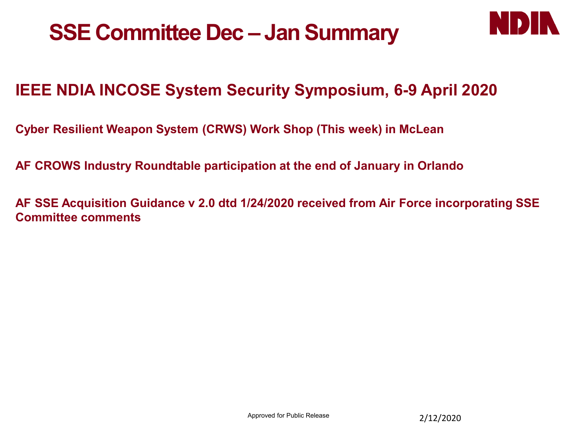



#### **IEEE NDIA INCOSE System Security Symposium, 6-9 April 2020**

**Cyber Resilient Weapon System (CRWS) Work Shop (This week) in McLean**

**AF CROWS Industry Roundtable participation at the end of January in Orlando**

**AF SSE Acquisition Guidance v 2.0 dtd 1/24/2020 received from Air Force incorporating SSE Committee comments**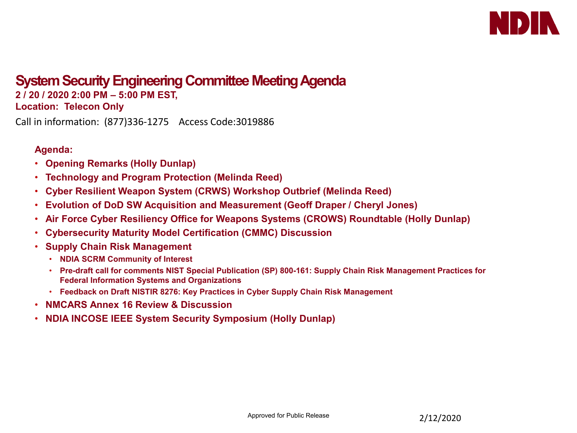

#### **System Security Engineering Committee Meeting Agenda 2 / 20 / 2020 2:00 PM – 5:00 PM EST,**

**Location: Telecon Only**

Call in information: (877)336-1275 Access Code:3019886

#### **Agenda:**

- **Opening Remarks (Holly Dunlap)**
- **Technology and Program Protection (Melinda Reed)**
- **Cyber Resilient Weapon System (CRWS) Workshop Outbrief (Melinda Reed)**
- **Evolution of DoD SW Acquisition and Measurement (Geoff Draper / Cheryl Jones)**
- **Air Force Cyber Resiliency Office for Weapons Systems (CROWS) Roundtable (Holly Dunlap)**
- **Cybersecurity Maturity Model Certification (CMMC) Discussion**
- **Supply Chain Risk Management**
	- **NDIA SCRM Community of Interest**
	- **Pre-draft call for comments NIST Special Publication (SP) 800-161: Supply Chain Risk Management Practices for Federal Information Systems and Organizations**
	- **Feedback on Draft NISTIR 8276: Key Practices in Cyber Supply Chain Risk Management**
- **NMCARS Annex 16 Review & Discussion**
- **NDIA INCOSE IEEE System Security Symposium (Holly Dunlap)**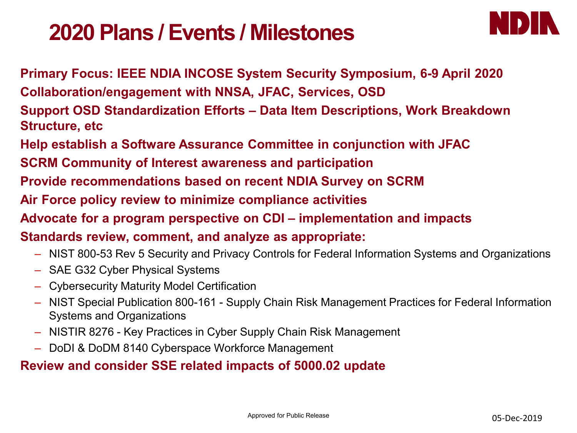## **2020 Plans / Events / Milestones**



**Primary Focus: IEEE NDIA INCOSE System Security Symposium, 6-9 April 2020 Collaboration/engagement with NNSA, JFAC, Services, OSD**

**Support OSD Standardization Efforts – Data Item Descriptions, Work Breakdown Structure, etc**

**Help establish a Software Assurance Committee in conjunction with JFAC**

**SCRM Community of Interest awareness and participation**

**Provide recommendations based on recent NDIA Survey on SCRM**

**Air Force policy review to minimize compliance activities**

**Advocate for a program perspective on CDI – implementation and impacts**

**Standards review, comment, and analyze as appropriate:**

- NIST 800-53 Rev 5 Security and Privacy Controls for Federal Information Systems and Organizations
- SAE G32 Cyber Physical Systems
- Cybersecurity Maturity Model Certification
- NIST Special Publication 800-161 Supply Chain Risk Management Practices for Federal Information Systems and Organizations
- NISTIR 8276 Key Practices in Cyber Supply Chain Risk Management
- DoDI & DoDM 8140 Cyberspace Workforce Management

#### **Review and consider SSE related impacts of 5000.02 update**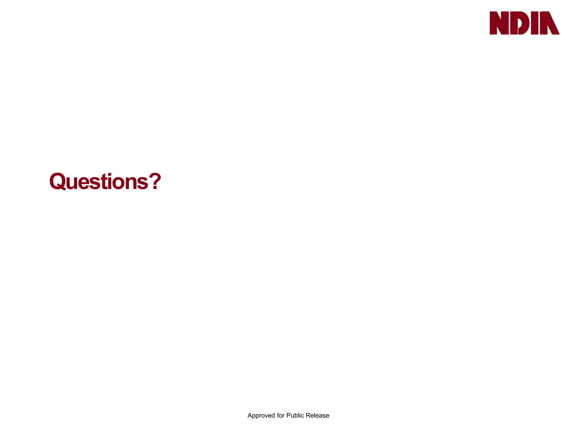

## **Questions?**

Approved for Public Release **5**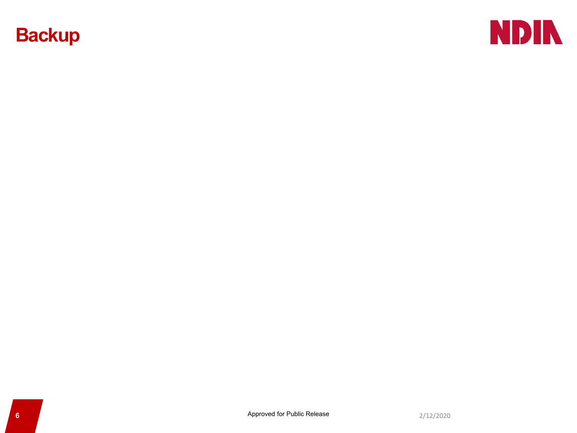#### **Backup**

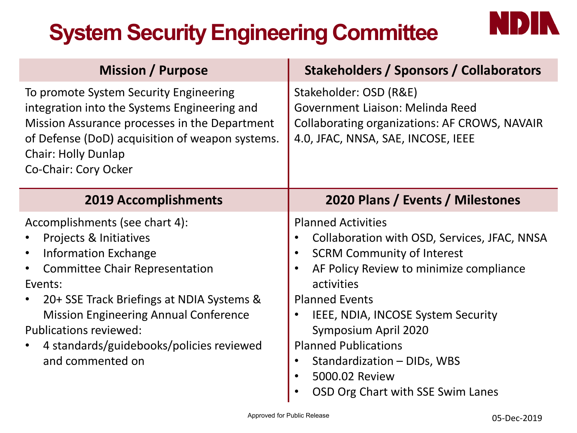# **System Security Engineering Committee**

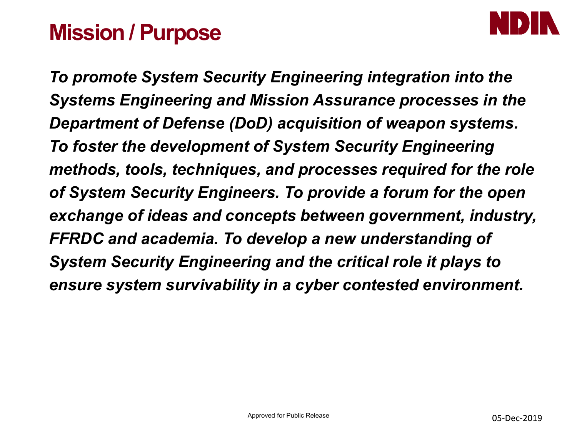## **Mission / Purpose**



*To promote System Security Engineering integration into the Systems Engineering and Mission Assurance processes in the Department of Defense (DoD) acquisition of weapon systems. To foster the development of System Security Engineering methods, tools, techniques, and processes required for the role of System Security Engineers. To provide a forum for the open exchange of ideas and concepts between government, industry, FFRDC and academia. To develop a new understanding of System Security Engineering and the critical role it plays to ensure system survivability in a cyber contested environment.*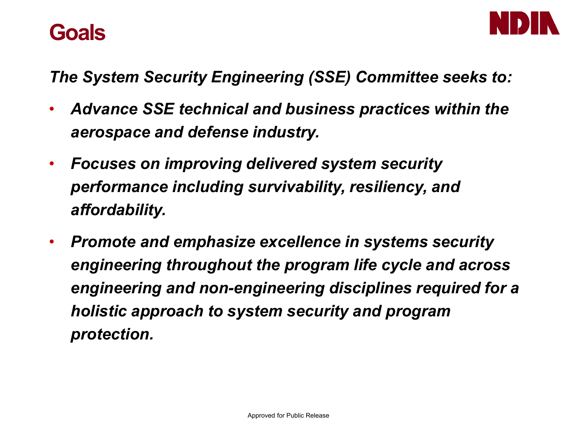



*The System Security Engineering (SSE) Committee seeks to:*

- *Advance SSE technical and business practices within the aerospace and defense industry.*
- *Focuses on improving delivered system security performance including survivability, resiliency, and affordability.*
- *Promote and emphasize excellence in systems security engineering throughout the program life cycle and across engineering and non-engineering disciplines required for a holistic approach to system security and program protection.*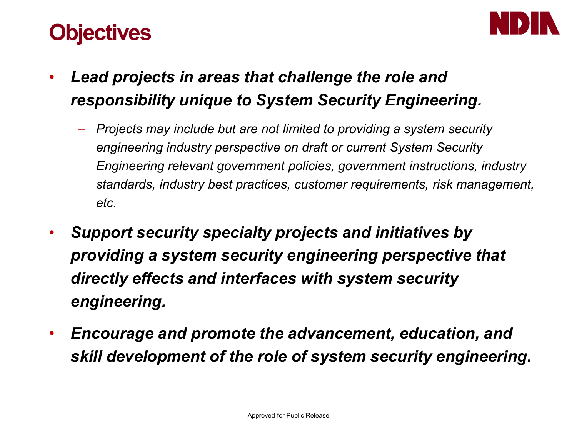# **Objectives**



- *Lead projects in areas that challenge the role and responsibility unique to System Security Engineering.*
	- *Projects may include but are not limited to providing a system security engineering industry perspective on draft or current System Security Engineering relevant government policies, government instructions, industry standards, industry best practices, customer requirements, risk management, etc.*
- *Support security specialty projects and initiatives by providing a system security engineering perspective that directly effects and interfaces with system security engineering.*
- *Encourage and promote the advancement, education, and skill development of the role of system security engineering.*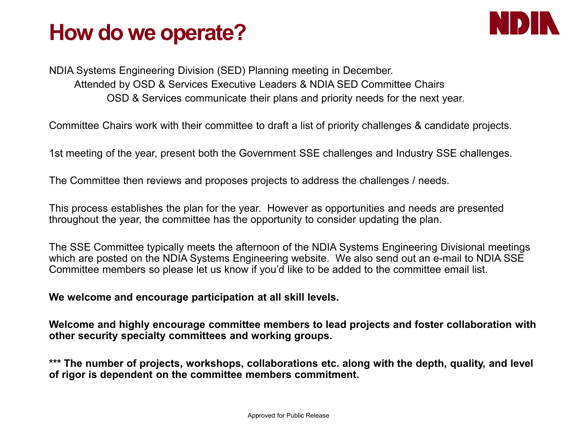# **How do we operate?**



NDIA Systems Engineering Division (SED) Planning meeting in December. Attended by OSD & Services Executive Leaders & NDIA SED Committee Chairs OSD & Services communicate their plans and priority needs for the next year.

Committee Chairs work with their committee to draft a list of priority challenges & candidate projects.

1st meeting of the year, present both the Government SSE challenges and Industry SSE challenges.

The Committee then reviews and proposes projects to address the challenges / needs.

This process establishes the plan for the year. However as opportunities and needs are presented throughout the year, the committee has the opportunity to consider updating the plan.

The SSE Committee typically meets the afternoon of the NDIA Systems Engineering Divisional meetings which are posted on the NDIA Systems Engineering website. We also send out an e-mail to NDIA SSE Committee members so please let us know if you'd like to be added to the committee email list.

**We welcome and encourage participation at all skill levels.** 

**Welcome and highly encourage committee members to lead projects and foster collaboration with other security specialty committees and working groups.** 

**\*\*\* The number of projects, workshops, collaborations etc. along with the depth, quality, and level of rigor is dependent on the committee members commitment.**